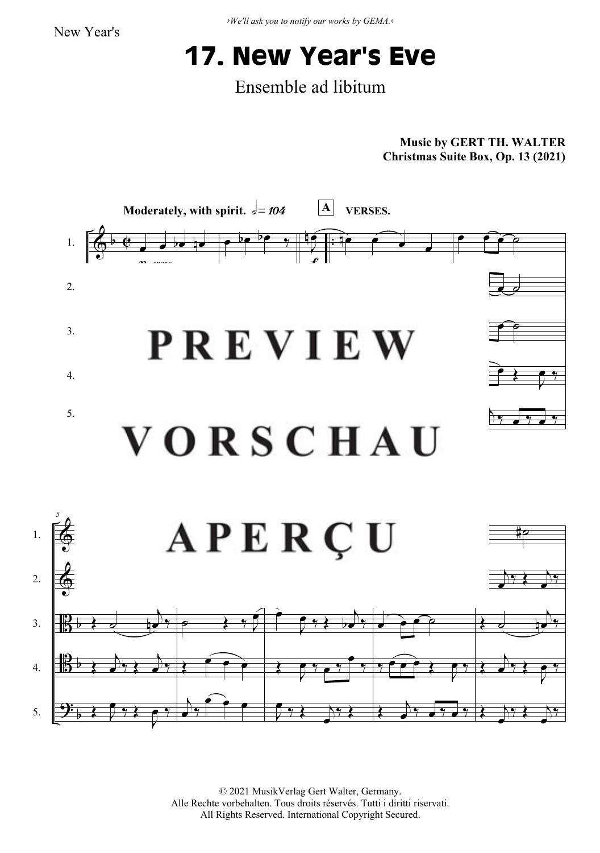*›We'll ask you to notify our works by GEMA.‹*

## **17. New Year's Eve**

Ensemble ad libitum

**Music by GERT TH. WALTER Christmas Suite Box, Op. 13 (2021)**



© 2021 MusikVerlag Gert Walter, Germany. Alle Rechte vorbehalten. Tous droits réservés. Tutti i diritti riservati. All Rights Reserved. International Copyright Secured.